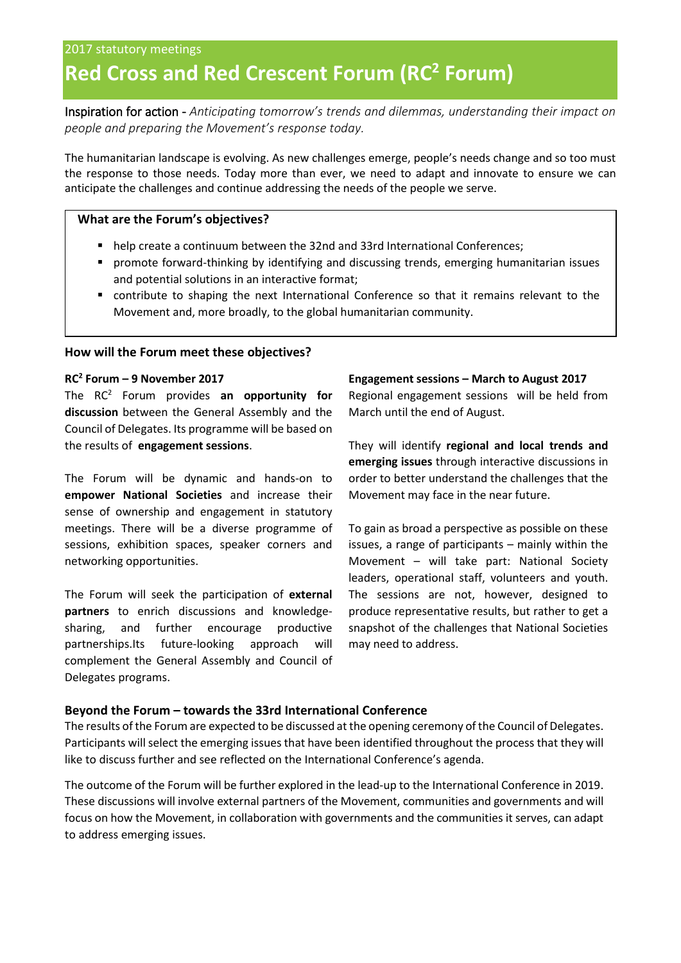# **Red Cross and Red Crescent Forum (RC<sup>2</sup> Forum)**

Inspiration for action - *Anticipating tomorrow's trends and dilemmas, understanding their impact on people and preparing the Movement's response today.*

The humanitarian landscape is evolving. As new challenges emerge, people's needs change and so too must the response to those needs. Today more than ever, we need to adapt and innovate to ensure we can anticipate the challenges and continue addressing the needs of the people we serve.

## **What are the Forum's objectives?**

- help create a continuum between the 32nd and 33rd International Conferences;
- promote forward-thinking by identifying and discussing trends, emerging humanitarian issues and potential solutions in an interactive format;
- contribute to shaping the next International Conference so that it remains relevant to the Movement and, more broadly, to the global humanitarian community.

### **How will the Forum meet these objectives?**

#### **RC<sup>2</sup> Forum – 9 November 2017**

The RC<sup>2</sup> Forum provides **an opportunity for discussion** between the General Assembly and the Council of Delegates. Its programme will be based on the results of **engagement sessions**.

The Forum will be dynamic and hands-on to **empower National Societies** and increase their sense of ownership and engagement in statutory meetings. There will be a diverse programme of sessions, exhibition spaces, speaker corners and networking opportunities.

The Forum will seek the participation of **external partners** to enrich discussions and knowledgesharing, and further encourage productive partnerships.Its future-looking approach will complement the General Assembly and Council of Delegates programs.

#### **Engagement sessions – March to August 2017**

Regional engagement sessions will be held from March until the end of August.

They will identify **regional and local trends and emerging issues** through interactive discussions in order to better understand the challenges that the Movement may face in the near future.

To gain as broad a perspective as possible on these issues, a range of participants – mainly within the Movement – will take part: National Society leaders, operational staff, volunteers and youth. The sessions are not, however, designed to produce representative results, but rather to get a snapshot of the challenges that National Societies may need to address.

# **Beyond the Forum – towards the 33rd International Conference**

The results of the Forum are expected to be discussed at the opening ceremony of the Council of Delegates. Participants will select the emerging issues that have been identified throughout the process that they will like to discuss further and see reflected on the International Conference's agenda.

The outcome of the Forum will be further explored in the lead-up to the International Conference in 2019. These discussions will involve external partners of the Movement, communities and governments and will focus on how the Movement, in collaboration with governments and the communities it serves, can adapt to address emerging issues.